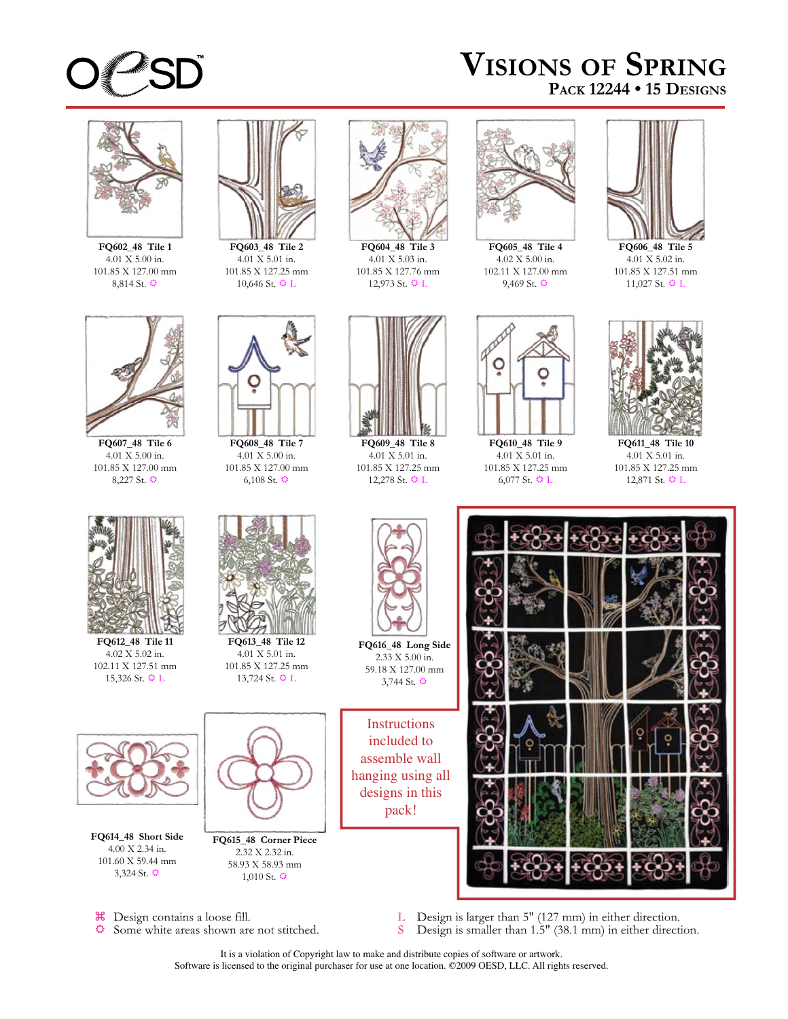

## **VISIONS OF SPRING PACK 12244 • 15 DESIGNS**



**FQ602\_48 Tile 1** 4.01 X 5.00 in. 101.85 X 127.00 mm 8,814 St.  $\ddot{\mathbf{\heartsuit}}$ 



4.01 X 5.01 in. 101.85 X 127.25 mm 10,646 St.  $\ddot{\mathbf{Q}}$  L



**FQ604\_48 Tile 3** 4.01 X 5.03 in. 101.85 X 127.76 mm 12,973 St.  $\Phi$  L



**FQ605\_48 Tile 4** 4.02 X 5.00 in. 102.11 X 127.00 mm 9,469 St.  $\ddot{Q}$ 



**FQ606\_48 Tile 5** 4.01 X 5.02 in. 101.85 X 127.51 mm 11,027 St.  $\ddot{\mathbf{Q}}$  L



**FQ607\_48 Tile 6** 4.01 X 5.00 in. 101.85 X 127.00 mm 8,227 St.  $\ddot{Q}$ 



**FQ612\_48 Tile 11** 4.02 X 5.02 in. 102.11 X 127.51 mm 15,326 St.  $\Phi$  L



**FQ608\_48 Tile 7** 4.01 X 5.00 in. 101.85 X 127.00 mm 6,108 St.  $\ddot{Q}$ 

**FQ613\_48 Tile 12** 4.01 X 5.01 in. 101.85 X 127.25 mm 13,724 St.  $\ddot{\mathbf{Q}}$  L



**FQ614\_48 Short Side** 4.00 X 2.34 in. 101.60 X 59.44 mm 3,324 St.  $\ddot{Q}$ 



**FQ615\_48 Corner Piece** 2.32 X 2.32 in. 58.93 X 58.93 mm  $1,010$  St.  $\ddot{Q}$ 



**FQ609\_48 Tile 8** 4.01 X 5.01 in. 101.85 X 127.25 mm 12,278 St.  $\Phi$  L



**FQ610\_48 Tile 9** 4.01 X 5.01 in. 101.85 X 127.25 mm 6,077 St.  $\ddot{\mathbf{Q}}$  L



**FQ611\_48 Tile 10** 4.01 X 5.01 in. 101.85 X 127.25 mm 12,871 St.  $\Phi$  L



**FQ616\_48 Long Side** 2.33 X 5.00 in. 59.18 X 127.00 mm 3,744 St.  $\ddot{Q}$ 

**Instructions** included to assemble wall hanging using all designs in this pack!



<sup>36</sup> Design contains a loose fill. ☆ Some white areas shown are not stitched.

- Design is larger than 5" (127 mm) in either direction.<br>Design is smaller than 1.5" (38.1 mm) in either direction. L S
- It is a violation of Copyright law to make and distribute copies of software or artwork. Software is licensed to the original purchaser for use at one location. ©2009 OESD, LLC. All rights reserved.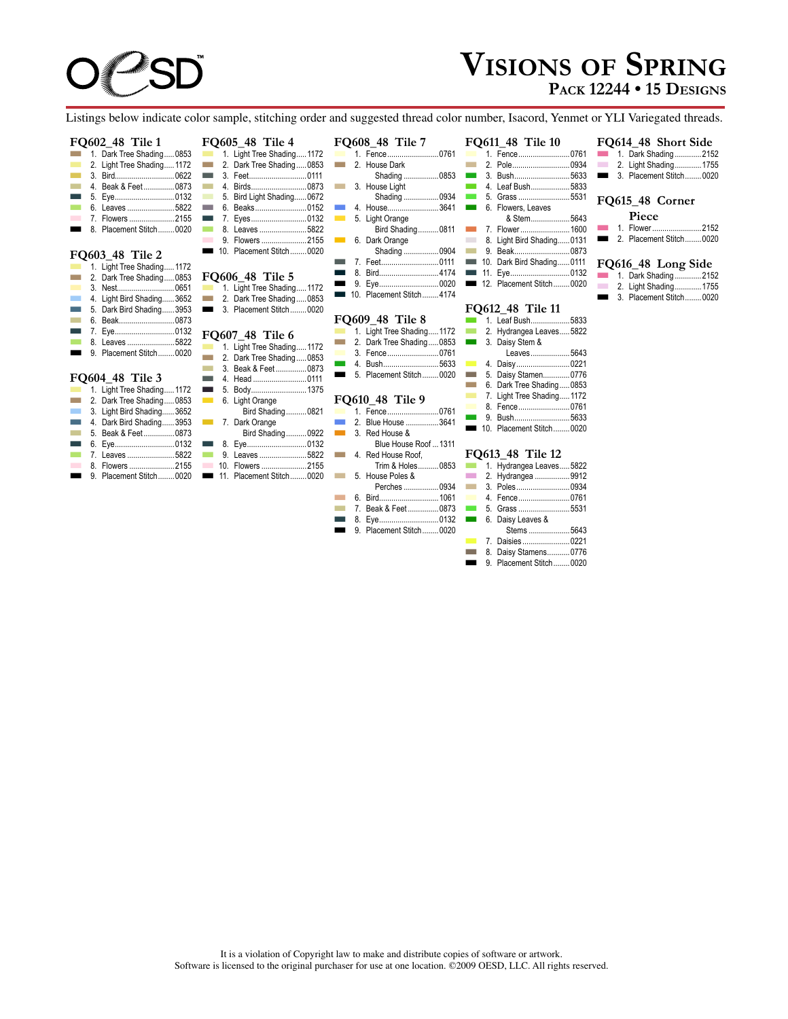## **VISIONS OF SPRING PACK 12244 • 15 DESIGNS**

Listings below indicate color sample, stitching order and suggested thread color number, Isacord, Yenmet or YLI Variegated threads.

#### **FQ602\_48 Tile 1**

|       |  | $200 - 100$                |  |
|-------|--|----------------------------|--|
|       |  | 1. Dark Tree Shading0853   |  |
| . .   |  | 2. Light Tree Shading 1172 |  |
|       |  |                            |  |
| a a s |  | 4. Beak & Feet0873         |  |
|       |  | 5. Eye0132                 |  |
|       |  | 6. Leaves 5822             |  |
|       |  | 7. Flowers 2155            |  |
|       |  | 8. Placement Stitch0020    |  |
|       |  |                            |  |

#### **FQ603\_48 Tile 2**

|  | 1. Light Tree Shading 1172 |  |
|--|----------------------------|--|
|  | 2. Dark Tree Shading0853   |  |
|  |                            |  |
|  | 4. Light Bird Shading3652  |  |
|  | 5. Dark Bird Shading3953   |  |
|  | 6. Beak0873                |  |
|  | 7. Eye0132                 |  |
|  |                            |  |
|  | 9. Placement Stitch0020    |  |
|  |                            |  |

#### **FQ604\_48 Tile 3**

| 1. Light Tree Shading 1172 |
|----------------------------|
| 2. Dark Tree Shading0853   |
| 3. Light Bird Shading3652  |
| 4. Dark Bird Shading3953   |
| 5. Beak & Feet0873         |
| 6. Eye0132                 |
| 7. Leaves 5822             |
| 8. Flowers 2155            |
| 9. Placement Stitch0020    |
|                            |

|                       | <b>FQ605_48 Tile 4</b>                                    | FQ608_48 Tile 7                             |
|-----------------------|-----------------------------------------------------------|---------------------------------------------|
| 3                     | 1. Light Tree Shading 1172                                | 1. Fence0761                                |
|                       | 2. Dark Tree Shading0853<br><b>College</b>                | 2. House Dark<br><b>The Co</b>              |
|                       | 3. Feet0111<br><b>The Contract of Street</b>              | Shading 0853                                |
|                       | <b>The Co</b>                                             | 3. House Light<br><b>College</b>            |
| 2<br>2<br>3<br>2<br>5 | 5. Bird Light Shading0672<br>$\mathcal{L}$                | Shading 0934                                |
|                       | 6. Beaks0152<br><b>College</b>                            | 4. House3641<br><b>The State</b>            |
|                       | 7. Eyes0132<br><b>The State</b>                           | $\sim 100$<br>5. Light Orange               |
|                       | 8. Leaves 5822<br><b>The Co</b>                           | Bird Shading 0811                           |
|                       | 9. Flowers 2155                                           | 6. Dark Orange<br>$\sim 100$                |
|                       | 10. Placement Stitch0020<br><b>The Contract</b>           | Shading  0904                               |
|                       |                                                           | 7. Feet0111<br><b>The Co</b>                |
| 3                     | <b>FQ606 48 Tile 5</b>                                    | 8. Bird4174<br>a.                           |
| 1                     | 1. Light Tree Shading 1172                                | 9. Eye0020<br>▀                             |
|                       | 2. Dark Tree Shading0853<br><b>Contract</b>               | 10. Placement Stitch4174                    |
|                       | 3. Placement Stitch0020<br>$\mathbf{r}$                   |                                             |
| 2<br>3<br>3           |                                                           | <b>FQ609 48 Tile 8</b>                      |
| $\frac{2}{2}$         | FQ607 48 Tile 6                                           | 1. Light Tree Shading 1172                  |
|                       | 1. Light Tree Shading 1172<br>$\mathcal{L}_{\mathcal{A}}$ | 2. Dark Tree Shading0853<br><b>Contract</b> |
|                       | 2. Dark Tree Shading0853<br><b>Tara</b>                   | 3. Fence0761                                |
|                       | 3. Beak & Feet0873<br><b>Contract</b>                     | 4. Bush5633<br>$\sim 10^{-1}$               |
|                       | 4. Head 0111<br><b>The Contract</b>                       | 5. Placement Stitch0020                     |
|                       | 5. Body1375<br><b>The Co</b>                              |                                             |
| 2<br>3                | $\sim 10$<br>6. Light Orange                              | FQ610 48 Tile 9                             |
|                       | Bird Shading 0821                                         | 1. Fence0761                                |
| 2<br>3<br>3           | 7. Dark Orange                                            | 2. Blue House 3641<br>mar 1                 |
|                       | Bird Shading 0922                                         | 3. Red House &<br><b>The State</b>          |
|                       |                                                           | Blue House Roof  1311                       |
| $\frac{2}{2}$         | $\sim 100$<br>9. Leaves 5822                              | 4. Red House Roof.<br><b>Contract</b>       |
| 5                     | 10. Flowers 2155                                          | Trim & Holes0853                            |
| J.                    | 11. Placement Stitch0020                                  | 5. House Poles &<br>$\sim 10$               |
|                       |                                                           | Perches  0934                               |
|                       |                                                           |                                             |
|                       |                                                           |                                             |

|  | <b>FO608 48 Tile 7</b> |                   |  |
|--|------------------------|-------------------|--|
|  | 1. Fence0761           |                   |  |
|  | 2. House Dark          |                   |  |
|  |                        | Shading 0853      |  |
|  | 3. House Light         |                   |  |
|  |                        | Shading 0934      |  |
|  | 4. House3641           |                   |  |
|  | 5. Light Orange        |                   |  |
|  |                        | Bird Shading 0811 |  |
|  | 6. Dark Orange         |                   |  |
|  |                        | Shading  0904     |  |
|  | 7. Feet0111            |                   |  |

#### M 8. Bird.............................4174 M 9. Eye.............................0020 M 12. Placement Stitch........0020

|  | 10. Placement Stitch4174 |  |
|--|--------------------------|--|
|  | EO600 10 TH. 0           |  |

|                          |  | T YOU TO THE O            |  |
|--------------------------|--|---------------------------|--|
|                          |  | 1. Light Tree Shading1172 |  |
|                          |  | 2. Dark Tree Shading0853  |  |
|                          |  | 3. Fence 0761             |  |
|                          |  |                           |  |
| $\overline{\phantom{a}}$ |  | 5. Placement Stitch0020   |  |

### **Tile 9**

|  | L'OUIU TO LIIC J      |
|--|-----------------------|
|  |                       |
|  | 2. Blue House 3641    |
|  | 3. Red House &        |
|  | Blue House Roof  1311 |
|  | 4. Red House Roof.    |
|  | Trim & Holes0853      |
|  | 5. House Poles &      |

## es ..................0934<br>1061

 $.0873$  $...0132$ <br> $...0020$ 

|     | <u>u. Dilu</u>      |
|-----|---------------------|
|     | 7. Beak & Feet      |
|     |                     |
| . . | 9. Placement Stitch |

#### **FQ611\_48 Tile 10** M 1. Fence.........................0761 M 2. Pole............................0934 M 3. Bush..................................5633<br>M 4. Leaf Bush....................5833 4. Leaf Bush.....................5833<br>5. Grass ...........................5531 5. Grass ....... **M** 6. Flowers, Leaves & Stem...................5643 M 7. Flower ........................1600 M 8. Light Bird Shading......0131

- 9. Beak......
- M 10. Dark Bird Shading......0111
- M 11. Eye.............................0132
	-

### **FQ612\_48 Tile 11**

|  | 1. Leaf Bush5833           |  |
|--|----------------------------|--|
|  | 2. Hydrangea Leaves5822    |  |
|  | 3. Daisy Stem &            |  |
|  | Leaves5643                 |  |
|  | 4. Daisy0221               |  |
|  | 5. Daisy Stamen0776        |  |
|  | 6. Dark Tree Shading0853   |  |
|  | 7. Light Tree Shading 1172 |  |
|  | 8. Fence0761               |  |
|  | 5622<br>$P$ uch            |  |

M 9. Bush...........................5633 10. Placement Stitch........0020

#### **FQ613\_48 Tile 12**

|  | 1. Hydrangea Leaves5822 |  |
|--|-------------------------|--|
|  | 2. Hydrangea 9912       |  |
|  | 3. Poles0934            |  |
|  | 4. Fence0761            |  |
|  |                         |  |
|  | 6. Daisy Leaves &       |  |
|  | Stems 5643              |  |
|  |                         |  |
|  | 8. Daisy Stamens0776    |  |
|  | 9. Placement Stitch0020 |  |

## **FQ615\_48 Corner**  Piece<br>1. Flower....

**M** 1. Flower ............................2152 **M** 2. Placement Stitch........0020

**FQ614\_48 Short Side**<br>1. Dark Shading.............2152 **M** 1. Dark Shading ..............2152 **M** 2. Light Shading..............1755 3. Placement Stitch........0020

#### **FQ616\_48 Long Side**

|  | $25.20 - 10.20$         |  |
|--|-------------------------|--|
|  | 1. Dark Shading2152     |  |
|  | 2. Light Shading 1755   |  |
|  | 3. Placement Stitch0020 |  |

It is a violation of Copyright law to make and distribute copies of software or artwork. Software is licensed to the original purchaser for use at one location. ©2009 OESD, LLC. All rights reserved.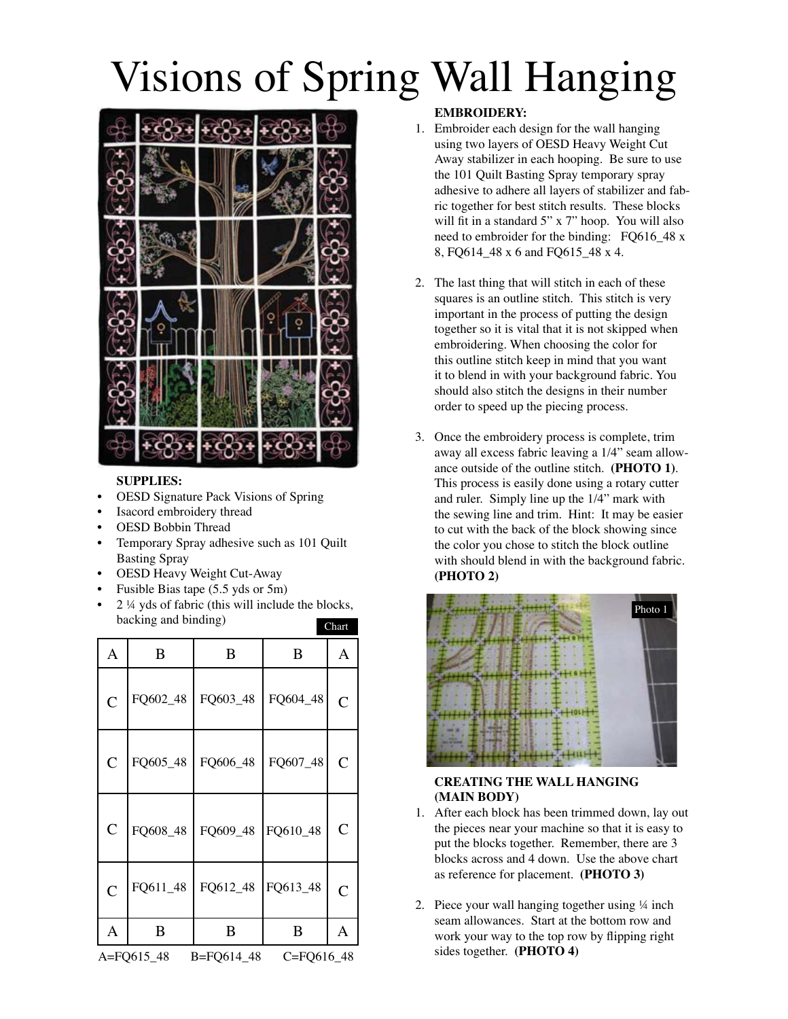# Visions of Spring Wall Hanging



#### **SUPPLIES:**

- **OESD Signature Pack Visions of Spring**  $\bullet$
- Isacord embroidery thread  $\bullet$
- **OESD Bobbin Thread**
- Temporary Spray adhesive such as 101 Quilt  $\bullet$ **Basting Spray**
- OESD Heavy Weight Cut-Away
- Fusible Bias tape (5.5 yds or 5m)
- 2 ¼ yds of fabric (this will include the blocks, backing and binding) Chart

| Α                                      | B        | B        | B        | A              |
|----------------------------------------|----------|----------|----------|----------------|
| $\overline{C}$                         | FQ602_48 | FQ603_48 | FQ604_48 | $\overline{C}$ |
| $\mathsf{C}$                           | FQ605_48 | FQ606_48 | FQ607_48 | $\overline{C}$ |
| $\overline{C}$                         | FQ608_48 | FQ609_48 | FQ610_48 | $\mathcal{C}$  |
| $\overline{C}$                         | FQ611_48 | FQ612_48 | FQ613_48 | $\overline{C}$ |
| A                                      | B        | B        | B        | A              |
| B=FQ614_48<br>C=FQ616_48<br>A=FQ615_48 |          |          |          |                |

#### **EMBROIDERY:**

- 1. Embroider each design for the wall hanging using two layers of OESD Heavy Weight Cut Away stabilizer in each hooping. Be sure to use the 101 Quilt Basting Spray temporary spray adhesive to adhere all layers of stabilizer and fabric together for best stitch results. These blocks will fit in a standard 5" x 7" hoop. You will also need to embroider for the binding: FQ616\_48 x 8, FQ614\_48 x 6 and FQ615\_48 x 4.
- 2. The last thing that will stitch in each of these squares is an outline stitch. This stitch is very important in the process of putting the design together so it is vital that it is not skipped when embroidering. When choosing the color for this outline stitch keep in mind that you want it to blend in with your background fabric. You should also stitch the designs in their number order to speed up the piecing process.
- 3. Once the embroidery process is complete, trim away all excess fabric leaving a 1/4" seam allowance outside of the outline stitch. (PHOTO 1). This process is easily done using a rotary cutter and ruler. Simply line up the 1/4" mark with the sewing line and trim. Hint: It may be easier to cut with the back of the block showing since the color you chose to stitch the block outline with should blend in with the background fabric. (PHOTO 2)



#### **CREATING THE WALL HANGING** (MAIN BODY)

- 1. After each block has been trimmed down, lay out the pieces near your machine so that it is easy to put the blocks together. Remember, there are 3 blocks across and 4 down. Use the above chart as reference for placement. (PHOTO 3)
- 2. Piece your wall hanging together using 1/4 inch seam allowances. Start at the bottom row and work your way to the top row by flipping right sides together. (PHOTO 4)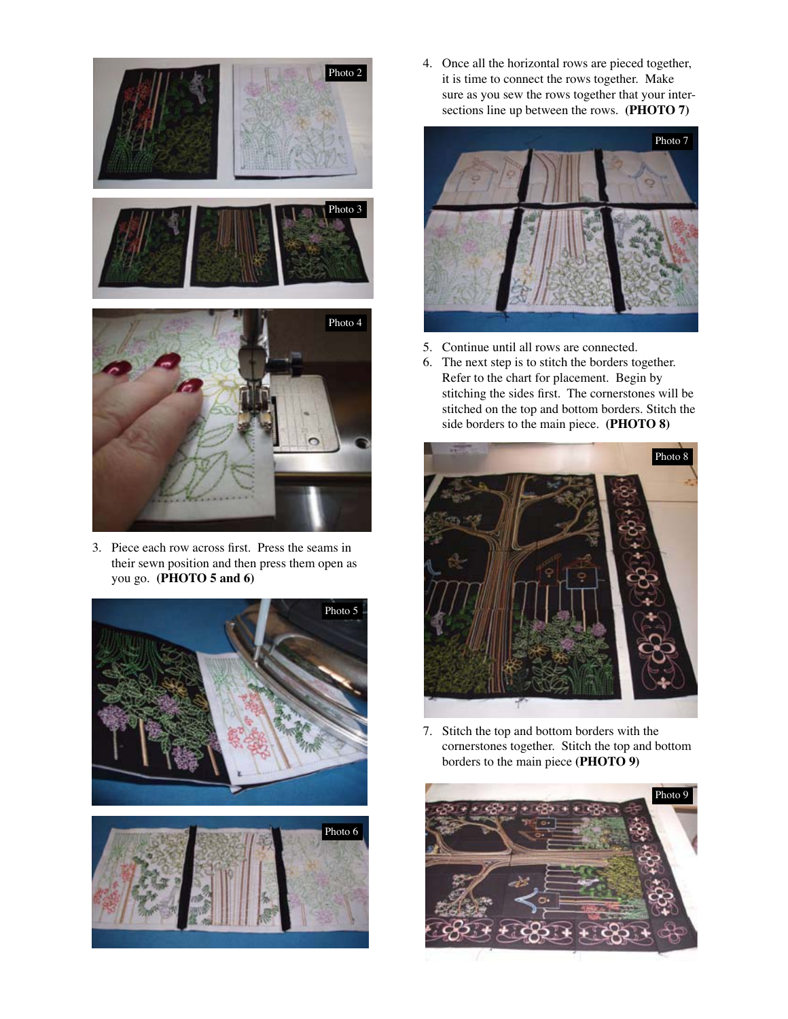

3. Piece each row across first. Press the seams in their sewn position and then press them open as you go. **(PHOTO 5 and 6)**





4. Once all the horizontal rows are pieced together, it is time to connect the rows together. Make sure as you sew the rows together that your inter sections line up between the rows. **(PHOTO 7)**



- 5. Continue until all rows are connected.
- 6. The next step is to stitch the borders together. Refer to the chart for placement. Begin by stitching the sides first. The cornerstones will be stitched on the top and bottom borders. Stitch the side borders to the main piece. **(PHOTO 8)**



7. Stitch the top and bottom borders with the cornerstones together. Stitch the top and bottom borders to the main piece **(PHOTO 9)**